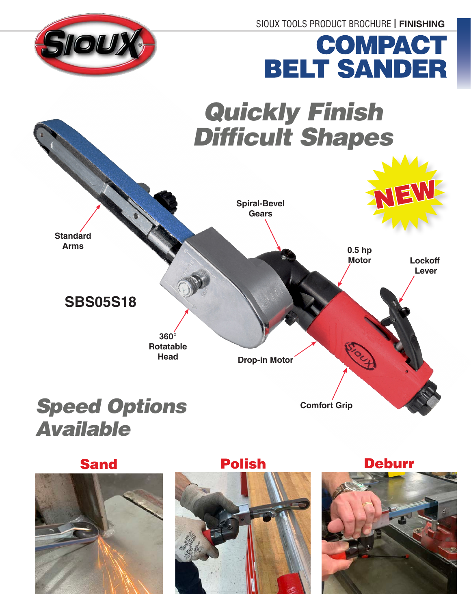SIOUX TOOLS PRODUCT BROCHURE **| FINISHING**



# COMPACT BELT SANDER



### *Speed Options Available*

Sand **Polish** 



Deburr